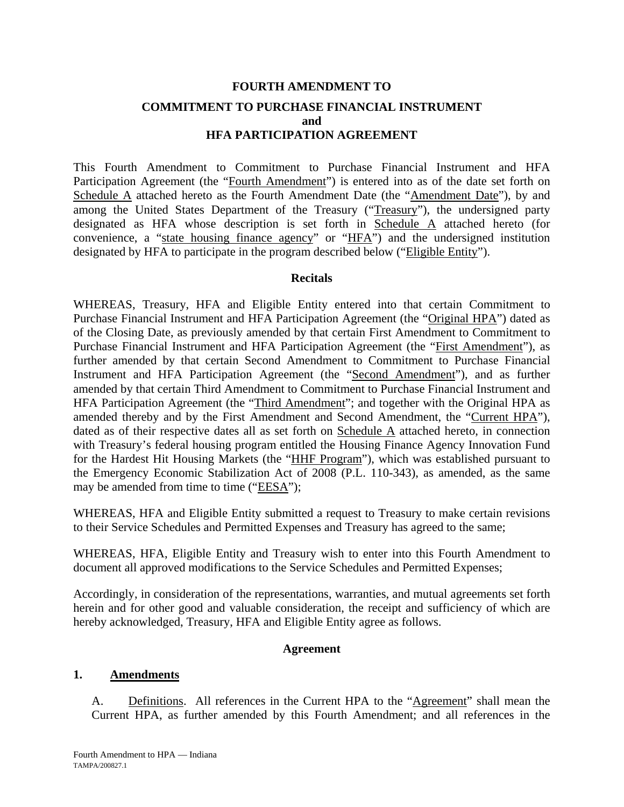# **FOURTH AMENDMENT TO COMMITMENT TO PURCHASE FINANCIAL INSTRUMENT and HFA PARTICIPATION AGREEMENT**

This Fourth Amendment to Commitment to Purchase Financial Instrument and HFA Participation Agreement (the "Fourth Amendment") is entered into as of the date set forth on Schedule A attached hereto as the Fourth Amendment Date (the "Amendment Date"), by and among the United States Department of the Treasury ("Treasury"), the undersigned party designated as HFA whose description is set forth in Schedule A attached hereto (for convenience, a "state housing finance agency" or "HFA") and the undersigned institution designated by HFA to participate in the program described below ("Eligible Entity").

## **Recitals**

WHEREAS, Treasury, HFA and Eligible Entity entered into that certain Commitment to Purchase Financial Instrument and HFA Participation Agreement (the "Original HPA") dated as of the Closing Date, as previously amended by that certain First Amendment to Commitment to Purchase Financial Instrument and HFA Participation Agreement (the "First Amendment"), as further amended by that certain Second Amendment to Commitment to Purchase Financial Instrument and HFA Participation Agreement (the "Second Amendment"), and as further amended by that certain Third Amendment to Commitment to Purchase Financial Instrument and HFA Participation Agreement (the "Third Amendment"; and together with the Original HPA as amended thereby and by the First Amendment and Second Amendment, the "Current HPA"), dated as of their respective dates all as set forth on Schedule A attached hereto, in connection with Treasury's federal housing program entitled the Housing Finance Agency Innovation Fund for the Hardest Hit Housing Markets (the "HHF Program"), which was established pursuant to the Emergency Economic Stabilization Act of 2008 (P.L. 110-343), as amended, as the same may be amended from time to time ("EESA");

WHEREAS, HFA and Eligible Entity submitted a request to Treasury to make certain revisions to their Service Schedules and Permitted Expenses and Treasury has agreed to the same;

WHEREAS, HFA, Eligible Entity and Treasury wish to enter into this Fourth Amendment to document all approved modifications to the Service Schedules and Permitted Expenses;

Accordingly, in consideration of the representations, warranties, and mutual agreements set forth herein and for other good and valuable consideration, the receipt and sufficiency of which are hereby acknowledged, Treasury, HFA and Eligible Entity agree as follows.

#### **Agreement**

#### **1. Amendments**

A. Definitions. All references in the Current HPA to the "Agreement" shall mean the Current HPA, as further amended by this Fourth Amendment; and all references in the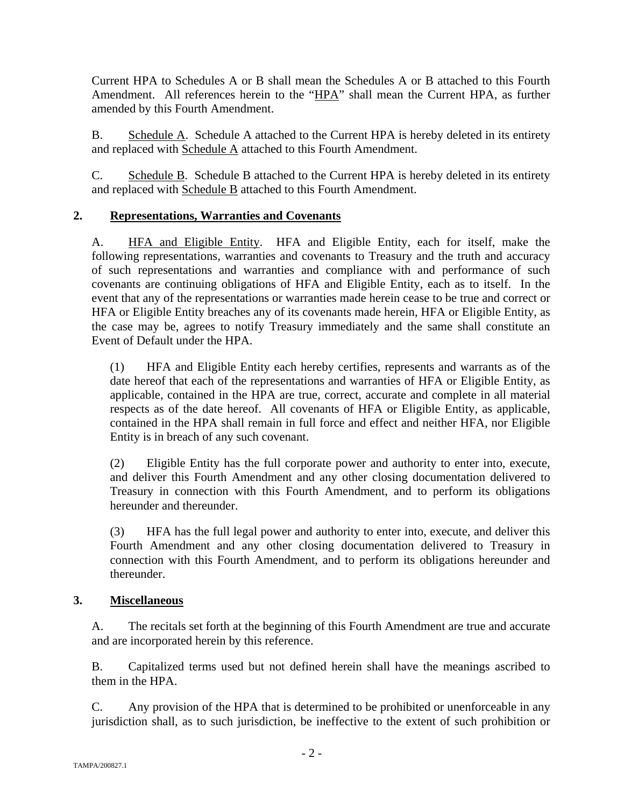Current HPA to Schedules A or B shall mean the Schedules A or B attached to this Fourth Amendment. All references herein to the "HPA" shall mean the Current HPA, as further amended by this Fourth Amendment.

B. Schedule A. Schedule A attached to the Current HPA is hereby deleted in its entirety and replaced with Schedule A attached to this Fourth Amendment.

C. Schedule B. Schedule B attached to the Current HPA is hereby deleted in its entirety and replaced with Schedule B attached to this Fourth Amendment.

# **2. Representations, Warranties and Covenants**

A. HFA and Eligible Entity. HFA and Eligible Entity, each for itself, make the following representations, warranties and covenants to Treasury and the truth and accuracy of such representations and warranties and compliance with and performance of such covenants are continuing obligations of HFA and Eligible Entity, each as to itself. In the event that any of the representations or warranties made herein cease to be true and correct or HFA or Eligible Entity breaches any of its covenants made herein, HFA or Eligible Entity, as the case may be, agrees to notify Treasury immediately and the same shall constitute an Event of Default under the HPA.

(1) HFA and Eligible Entity each hereby certifies, represents and warrants as of the date hereof that each of the representations and warranties of HFA or Eligible Entity, as applicable, contained in the HPA are true, correct, accurate and complete in all material respects as of the date hereof. All covenants of HFA or Eligible Entity, as applicable, contained in the HPA shall remain in full force and effect and neither HFA, nor Eligible Entity is in breach of any such covenant.

(2) Eligible Entity has the full corporate power and authority to enter into, execute, and deliver this Fourth Amendment and any other closing documentation delivered to Treasury in connection with this Fourth Amendment, and to perform its obligations hereunder and thereunder.

(3) HFA has the full legal power and authority to enter into, execute, and deliver this Fourth Amendment and any other closing documentation delivered to Treasury in connection with this Fourth Amendment, and to perform its obligations hereunder and thereunder.

## **3. Miscellaneous**

A. The recitals set forth at the beginning of this Fourth Amendment are true and accurate and are incorporated herein by this reference.

B. Capitalized terms used but not defined herein shall have the meanings ascribed to them in the HPA.

C. Any provision of the HPA that is determined to be prohibited or unenforceable in any jurisdiction shall, as to such jurisdiction, be ineffective to the extent of such prohibition or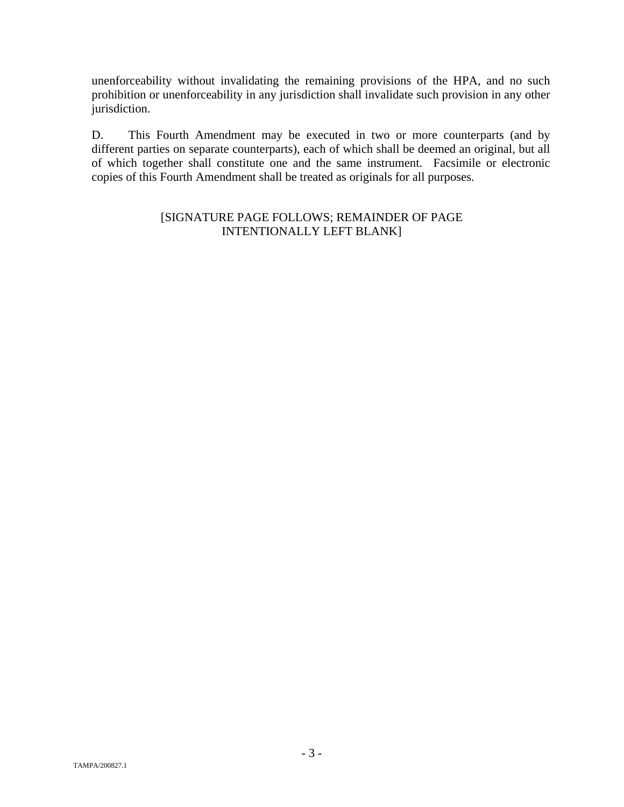unenforceability without invalidating the remaining provisions of the HPA, and no such prohibition or unenforceability in any jurisdiction shall invalidate such provision in any other jurisdiction.

D. This Fourth Amendment may be executed in two or more counterparts (and by different parties on separate counterparts), each of which shall be deemed an original, but all of which together shall constitute one and the same instrument. Facsimile or electronic copies of this Fourth Amendment shall be treated as originals for all purposes.

## [SIGNATURE PAGE FOLLOWS; REMAINDER OF PAGE INTENTIONALLY LEFT BLANK]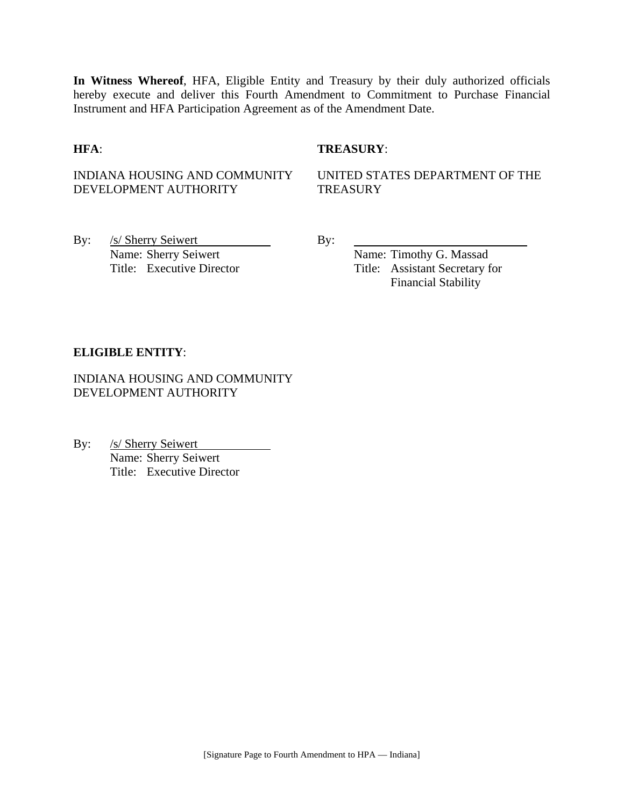**In Witness Whereof**, HFA, Eligible Entity and Treasury by their duly authorized officials hereby execute and deliver this Fourth Amendment to Commitment to Purchase Financial Instrument and HFA Participation Agreement as of the Amendment Date.

## **HFA**: **TREASURY**:

## INDIANA HOUSING AND COMMUNITY DEVELOPMENT AUTHORITY

UNITED STATES DEPARTMENT OF THE **TREASURY** 

By: <u>/s/ Sherry Seiwert</u> By: Name: Sherry Seiwert By:

Name: Timothy G. Massad Title: Executive Director Title: Assistant Secretary for Financial Stability

## **ELIGIBLE ENTITY**:

INDIANA HOUSING AND COMMUNITY DEVELOPMENT AUTHORITY

By: /s/ Sherry Seiwert Name: Sherry Seiwert Title: Executive Director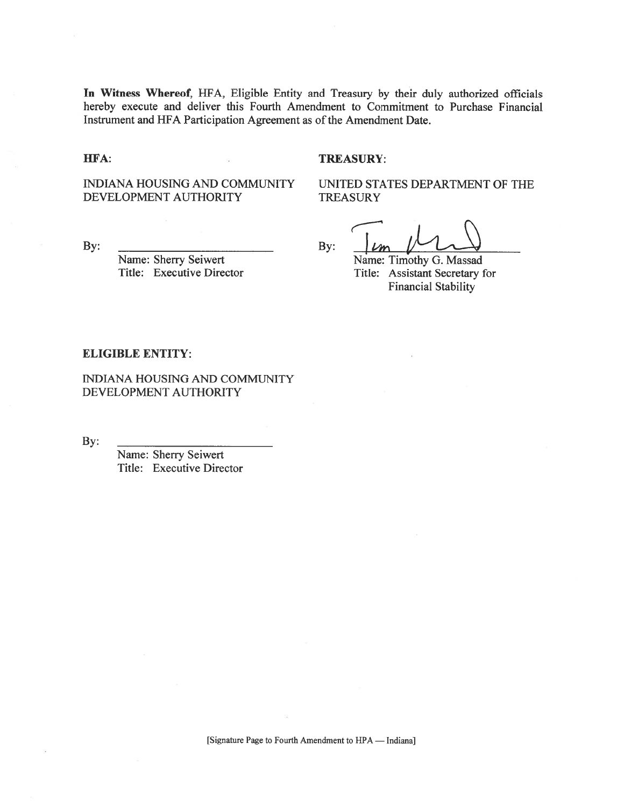In Witness Whereof, HFA, Eligible Entity and Treasury by their duly authorized officials hereby execute and deliver this Fourth Amendment to Commitment to Purchase Financial Instrument and HFA Participation Agreement as of the Amendment Date.

HFA:

#### **TREASURY:**

**INDIANA HOUSING AND COMMUNITY** DEVELOPMENT AUTHORITY

UNITED STATES DEPARTMENT OF THE **TREASURY** 

By:

Name: Sherry Seiwert Title: Executive Director

By:

Name: Timothy G. Massad Title: Assistant Secretary for **Financial Stability** 

#### **ELIGIBLE ENTITY:**

INDIANA HOUSING AND COMMUNITY DEVELOPMENT AUTHORITY

By:

Name: Sherry Seiwert Title: Executive Director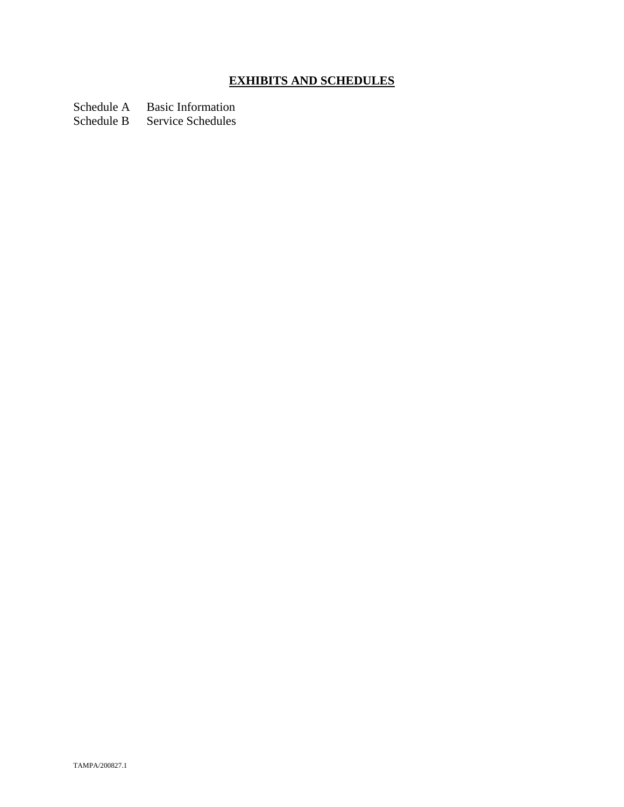# **EXHIBITS AND SCHEDULES**

Schedule A Basic Information<br>Schedule B Service Schedules

Service Schedules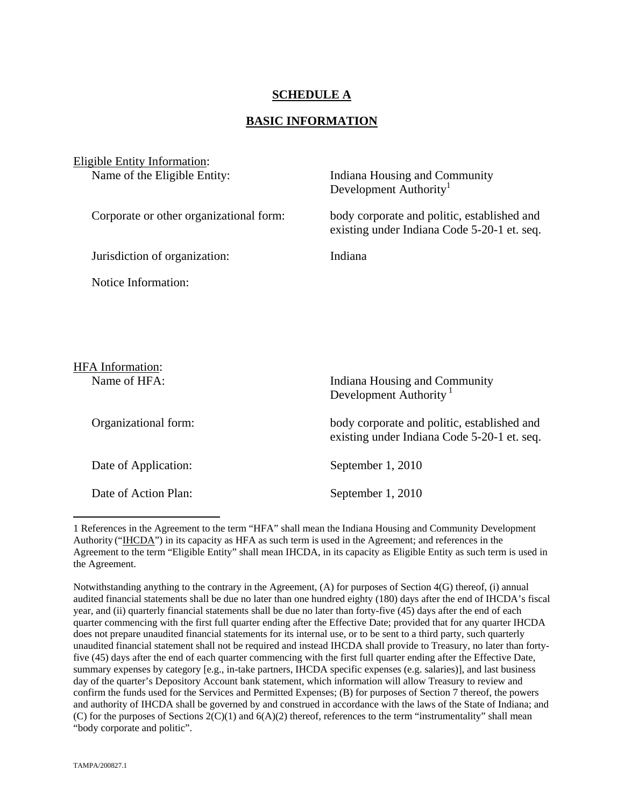## **SCHEDULE A**

### **BASIC INFORMATION**

| <b>Eligible Entity Information:</b>     |                                                                                            |
|-----------------------------------------|--------------------------------------------------------------------------------------------|
| Name of the Eligible Entity:            | Indiana Housing and Community<br>Development Authority <sup>1</sup>                        |
| Corporate or other organizational form: | body corporate and politic, established and<br>existing under Indiana Code 5-20-1 et. seq. |
| Jurisdiction of organization:           | Indiana                                                                                    |
| Notice Information:                     |                                                                                            |
|                                         |                                                                                            |
|                                         |                                                                                            |
| <b>HFA</b> Information:                 |                                                                                            |
| Name of HFA:                            | Indiana Housing and Community<br>Development Authority <sup>1</sup>                        |
| Organizational form:                    | body corporate and politic, established and<br>existing under Indiana Code 5-20-1 et. seq. |
| Date of Application:                    | September 1, 2010                                                                          |

Date of Action Plan: September 1, 2010

 $\overline{a}$ 

Notwithstanding anything to the contrary in the Agreement, (A) for purposes of Section 4(G) thereof, (i) annual audited financial statements shall be due no later than one hundred eighty (180) days after the end of IHCDA's fiscal year, and (ii) quarterly financial statements shall be due no later than forty-five (45) days after the end of each quarter commencing with the first full quarter ending after the Effective Date; provided that for any quarter IHCDA does not prepare unaudited financial statements for its internal use, or to be sent to a third party, such quarterly unaudited financial statement shall not be required and instead IHCDA shall provide to Treasury, no later than fortyfive (45) days after the end of each quarter commencing with the first full quarter ending after the Effective Date, summary expenses by category [e.g., in-take partners, IHCDA specific expenses (e.g. salaries)], and last business day of the quarter's Depository Account bank statement, which information will allow Treasury to review and confirm the funds used for the Services and Permitted Expenses; (B) for purposes of Section 7 thereof, the powers and authority of IHCDA shall be governed by and construed in accordance with the laws of the State of Indiana; and (C) for the purposes of Sections 2(C)(1) and 6(A)(2) thereof, references to the term "instrumentality" shall mean "body corporate and politic".

<sup>1</sup> References in the Agreement to the term "HFA" shall mean the Indiana Housing and Community Development Authority ("IHCDA") in its capacity as HFA as such term is used in the Agreement; and references in the Agreement to the term "Eligible Entity" shall mean IHCDA, in its capacity as Eligible Entity as such term is used in the Agreement.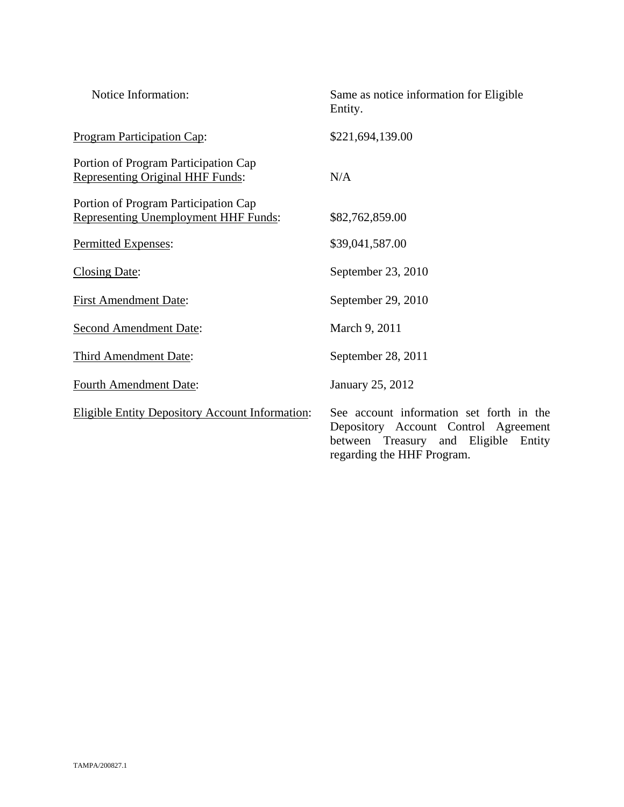| Notice Information:                                                          | Same as notice information for Eligible<br>Entity.                                                                                                        |
|------------------------------------------------------------------------------|-----------------------------------------------------------------------------------------------------------------------------------------------------------|
| <b>Program Participation Cap:</b>                                            | \$221,694,139.00                                                                                                                                          |
| Portion of Program Participation Cap<br>Representing Original HHF Funds:     | N/A                                                                                                                                                       |
| Portion of Program Participation Cap<br>Representing Unemployment HHF Funds: | \$82,762,859.00                                                                                                                                           |
| Permitted Expenses:                                                          | \$39,041,587.00                                                                                                                                           |
| <b>Closing Date:</b>                                                         | September 23, 2010                                                                                                                                        |
| <b>First Amendment Date:</b>                                                 | September 29, 2010                                                                                                                                        |
| <b>Second Amendment Date:</b>                                                | March 9, 2011                                                                                                                                             |
| Third Amendment Date:                                                        | September 28, 2011                                                                                                                                        |
| <b>Fourth Amendment Date:</b>                                                | January 25, 2012                                                                                                                                          |
| <b>Eligible Entity Depository Account Information:</b>                       | See account information set forth in the<br>Depository Account Control Agreement<br>between Treasury and Eligible<br>Entity<br>regarding the HHF Program. |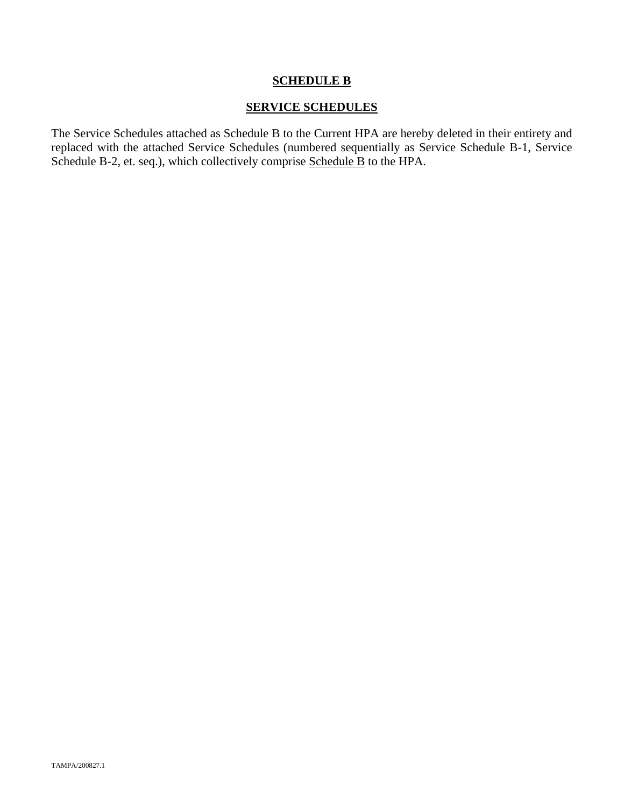## **SCHEDULE B**

## **SERVICE SCHEDULES**

The Service Schedules attached as Schedule B to the Current HPA are hereby deleted in their entirety and replaced with the attached Service Schedules (numbered sequentially as Service Schedule B-1, Service Schedule B-2, et. seq.), which collectively comprise Schedule B to the HPA.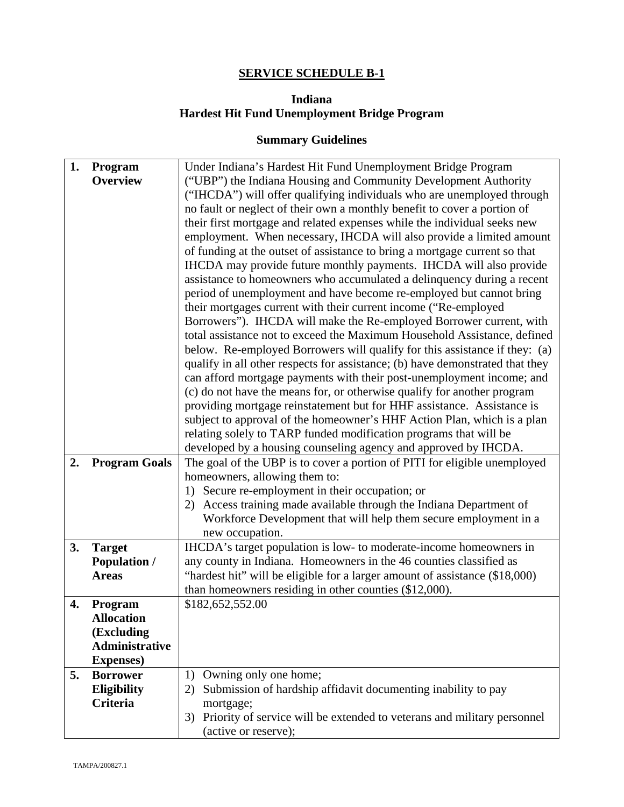# **SERVICE SCHEDULE B-1**

# **Indiana Hardest Hit Fund Unemployment Bridge Program**

## **Summary Guidelines**

| 1. | Program               | Under Indiana's Hardest Hit Fund Unemployment Bridge Program                  |
|----|-----------------------|-------------------------------------------------------------------------------|
|    | <b>Overview</b>       | ("UBP") the Indiana Housing and Community Development Authority               |
|    |                       | ("IHCDA") will offer qualifying individuals who are unemployed through        |
|    |                       | no fault or neglect of their own a monthly benefit to cover a portion of      |
|    |                       | their first mortgage and related expenses while the individual seeks new      |
|    |                       |                                                                               |
|    |                       | employment. When necessary, IHCDA will also provide a limited amount          |
|    |                       | of funding at the outset of assistance to bring a mortgage current so that    |
|    |                       | IHCDA may provide future monthly payments. IHCDA will also provide            |
|    |                       | assistance to homeowners who accumulated a delinquency during a recent        |
|    |                       | period of unemployment and have become re-employed but cannot bring           |
|    |                       | their mortgages current with their current income ("Re-employed               |
|    |                       | Borrowers"). IHCDA will make the Re-employed Borrower current, with           |
|    |                       | total assistance not to exceed the Maximum Household Assistance, defined      |
|    |                       | below. Re-employed Borrowers will qualify for this assistance if they: (a)    |
|    |                       | qualify in all other respects for assistance; (b) have demonstrated that they |
|    |                       | can afford mortgage payments with their post-unemployment income; and         |
|    |                       | (c) do not have the means for, or otherwise qualify for another program       |
|    |                       | providing mortgage reinstatement but for HHF assistance. Assistance is        |
|    |                       | subject to approval of the homeowner's HHF Action Plan, which is a plan       |
|    |                       | relating solely to TARP funded modification programs that will be             |
|    |                       | developed by a housing counseling agency and approved by IHCDA.               |
| 2. | <b>Program Goals</b>  | The goal of the UBP is to cover a portion of PITI for eligible unemployed     |
|    |                       | homeowners, allowing them to:                                                 |
|    |                       | 1) Secure re-employment in their occupation; or                               |
|    |                       | Access training made available through the Indiana Department of<br>2)        |
|    |                       |                                                                               |
|    |                       | Workforce Development that will help them secure employment in a              |
|    |                       | new occupation.                                                               |
| 3. | <b>Target</b>         | IHCDA's target population is low- to moderate-income homeowners in            |
|    | <b>Population /</b>   | any county in Indiana. Homeowners in the 46 counties classified as            |
|    | <b>Areas</b>          | "hardest hit" will be eligible for a larger amount of assistance (\$18,000)   |
|    |                       | than homeowners residing in other counties (\$12,000).                        |
| 4. | Program               | \$182,652,552.00                                                              |
|    | <b>Allocation</b>     |                                                                               |
|    | (Excluding            |                                                                               |
|    | <b>Administrative</b> |                                                                               |
|    | <b>Expenses</b> )     |                                                                               |
| 5. | <b>Borrower</b>       | Owning only one home;<br>1)                                                   |
|    | Eligibility           | Submission of hardship affidavit documenting inability to pay<br>2)           |
|    | Criteria              | mortgage;                                                                     |
|    |                       | Priority of service will be extended to veterans and military personnel<br>3) |
|    |                       | (active or reserve);                                                          |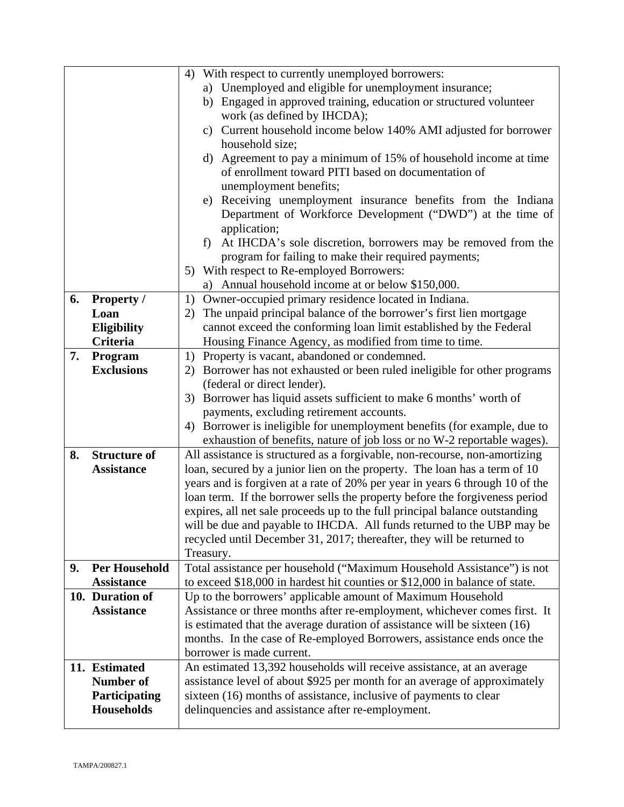|    |                                      | With respect to currently unemployed borrowers:<br>4)                        |
|----|--------------------------------------|------------------------------------------------------------------------------|
|    |                                      | a) Unemployed and eligible for unemployment insurance;                       |
|    |                                      | b) Engaged in approved training, education or structured volunteer           |
|    |                                      | work (as defined by IHCDA);                                                  |
|    |                                      | c) Current household income below 140% AMI adjusted for borrower             |
|    |                                      | household size;                                                              |
|    |                                      | d) Agreement to pay a minimum of 15% of household income at time             |
|    |                                      | of enrollment toward PITI based on documentation of                          |
|    |                                      | unemployment benefits;                                                       |
|    |                                      | e) Receiving unemployment insurance benefits from the Indiana                |
|    |                                      | Department of Workforce Development ("DWD") at the time of                   |
|    |                                      | application;                                                                 |
|    |                                      | At IHCDA's sole discretion, borrowers may be removed from the<br>f)          |
|    |                                      | program for failing to make their required payments;                         |
|    |                                      | 5) With respect to Re-employed Borrowers:                                    |
|    |                                      | a) Annual household income at or below \$150,000.                            |
| 6. | <b>Property /</b>                    | Owner-occupied primary residence located in Indiana.<br>1)                   |
|    | Loan                                 | The unpaid principal balance of the borrower's first lien mortgage<br>2)     |
|    | Eligibility                          | cannot exceed the conforming loan limit established by the Federal           |
|    | <b>Criteria</b>                      | Housing Finance Agency, as modified from time to time.                       |
| 7. | Program                              | 1) Property is vacant, abandoned or condemned.                               |
|    | <b>Exclusions</b>                    | 2) Borrower has not exhausted or been ruled ineligible for other programs    |
|    |                                      | (federal or direct lender).                                                  |
|    |                                      | 3) Borrower has liquid assets sufficient to make 6 months' worth of          |
|    |                                      | payments, excluding retirement accounts.                                     |
|    |                                      | Borrower is ineligible for unemployment benefits (for example, due to<br>4)  |
|    |                                      | exhaustion of benefits, nature of job loss or no W-2 reportable wages).      |
| 8. | <b>Structure of</b>                  | All assistance is structured as a forgivable, non-recourse, non-amortizing   |
|    | <b>Assistance</b>                    | loan, secured by a junior lien on the property. The loan has a term of 10    |
|    |                                      | years and is forgiven at a rate of 20% per year in years 6 through 10 of the |
|    |                                      | loan term. If the borrower sells the property before the forgiveness period  |
|    |                                      | expires, all net sale proceeds up to the full principal balance outstanding  |
|    |                                      | will be due and payable to IHCDA. All funds returned to the UBP may be       |
|    |                                      | recycled until December 31, 2017; thereafter, they will be returned to       |
|    |                                      | Treasury.                                                                    |
| 9. | <b>Per Household</b>                 | Total assistance per household ("Maximum Household Assistance") is not       |
|    | <b>Assistance</b>                    | to exceed \$18,000 in hardest hit counties or \$12,000 in balance of state.  |
|    | 10. Duration of<br><b>Assistance</b> | Up to the borrowers' applicable amount of Maximum Household                  |
|    |                                      | Assistance or three months after re-employment, whichever comes first. It    |
|    |                                      | is estimated that the average duration of assistance will be sixteen (16)    |
|    |                                      | months. In the case of Re-employed Borrowers, assistance ends once the       |
|    | 11. Estimated                        | borrower is made current.                                                    |
|    | Number of                            | An estimated 13,392 households will receive assistance, at an average        |
|    |                                      | assistance level of about \$925 per month for an average of approximately    |
|    | Participating<br><b>Households</b>   | sixteen (16) months of assistance, inclusive of payments to clear            |
|    |                                      | delinquencies and assistance after re-employment.                            |